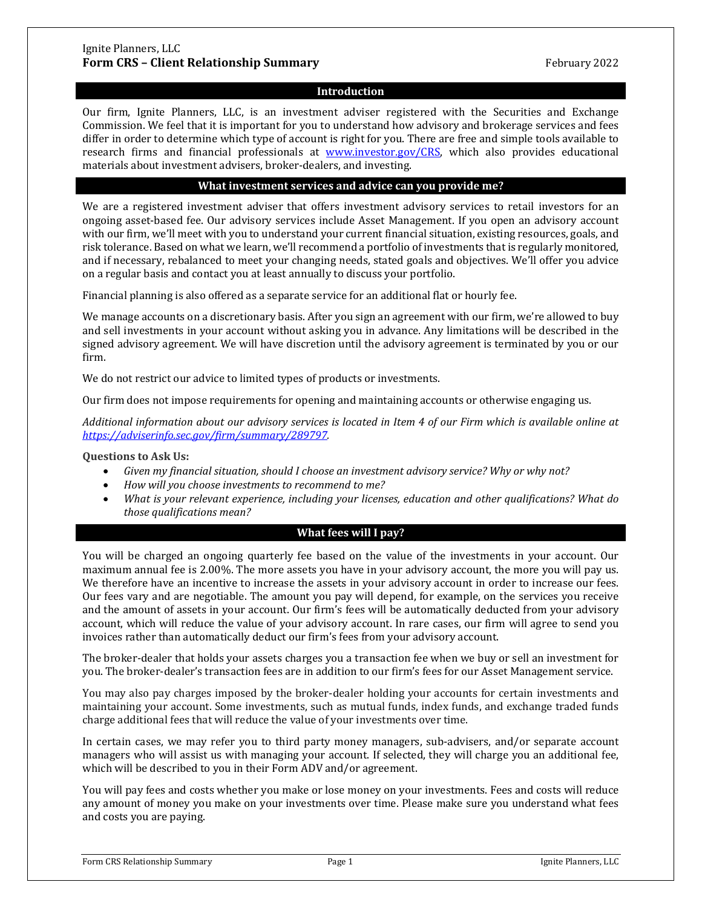# Ignite Planners, LLC **Form CRS – Client Relationship Summary** February 2022

# **Introduction**

Our firm, Ignite Planners, LLC, is an investment adviser registered with the Securities and Exchange Commission. We feel that it is important for you to understand how advisory and brokerage services and fees differ in order to determine which type of account is right for you. There are free and simple tools available to research firms and financial professionals at [www.investor.gov/CRS,](http://www.investor.gov/CRS) which also provides educational materials about investment advisers, broker-dealers, and investing.

#### **What investment services and advice can you provide me?**

We are a registered investment adviser that offers investment advisory services to retail investors for an ongoing asset-based fee. Our advisory services include Asset Management. If you open an advisory account with our firm, we'll meet with you to understand your current financial situation, existing resources, goals, and risk tolerance. Based on what we learn, we'll recommend a portfolio of investments that is regularly monitored, and if necessary, rebalanced to meet your changing needs, stated goals and objectives. We'll offer you advice on a regular basis and contact you at least annually to discuss your portfolio.

Financial planning is also offered as a separate service for an additional flat or hourly fee.

We manage accounts on a discretionary basis. After you sign an agreement with our firm, we're allowed to buy and sell investments in your account without asking you in advance. Any limitations will be described in the signed advisory agreement. We will have discretion until the advisory agreement is terminated by you or our firm.

We do not restrict our advice to limited types of products or investments.

Our firm does not impose requirements for opening and maintaining accounts or otherwise engaging us.

*Additional information about our advisory services is located in Item 4 of our Firm which is available online at [https://adviserinfo.sec.gov/firm/summary/289797.](https://adviserinfo.sec.gov/firm/summary/289797)* 

**Questions to Ask Us:**

- *Given my financial situation, should I choose an investment advisory service? Why or why not?*
- *How will you choose investments to recommend to me?*
- *What is your relevant experience, including your licenses, education and other qualifications? What do those qualifications mean?*

### **What fees will I pay?**

You will be charged an ongoing quarterly fee based on the value of the investments in your account. Our maximum annual fee is 2.00%. The more assets you have in your advisory account, the more you will pay us. We therefore have an incentive to increase the assets in your advisory account in order to increase our fees. Our fees vary and are negotiable. The amount you pay will depend, for example, on the services you receive and the amount of assets in your account. Our firm's fees will be automatically deducted from your advisory account, which will reduce the value of your advisory account. In rare cases, our firm will agree to send you invoices rather than automatically deduct our firm's fees from your advisory account.

The broker-dealer that holds your assets charges you a transaction fee when we buy or sell an investment for you. The broker-dealer's transaction fees are in addition to our firm's fees for our Asset Management service.

You may also pay charges imposed by the broker-dealer holding your accounts for certain investments and maintaining your account. Some investments, such as mutual funds, index funds, and exchange traded funds charge additional fees that will reduce the value of your investments over time.

In certain cases, we may refer you to third party money managers, sub-advisers, and/or separate account managers who will assist us with managing your account. If selected, they will charge you an additional fee, which will be described to you in their Form ADV and/or agreement.

You will pay fees and costs whether you make or lose money on your investments. Fees and costs will reduce any amount of money you make on your investments over time. Please make sure you understand what fees and costs you are paying.